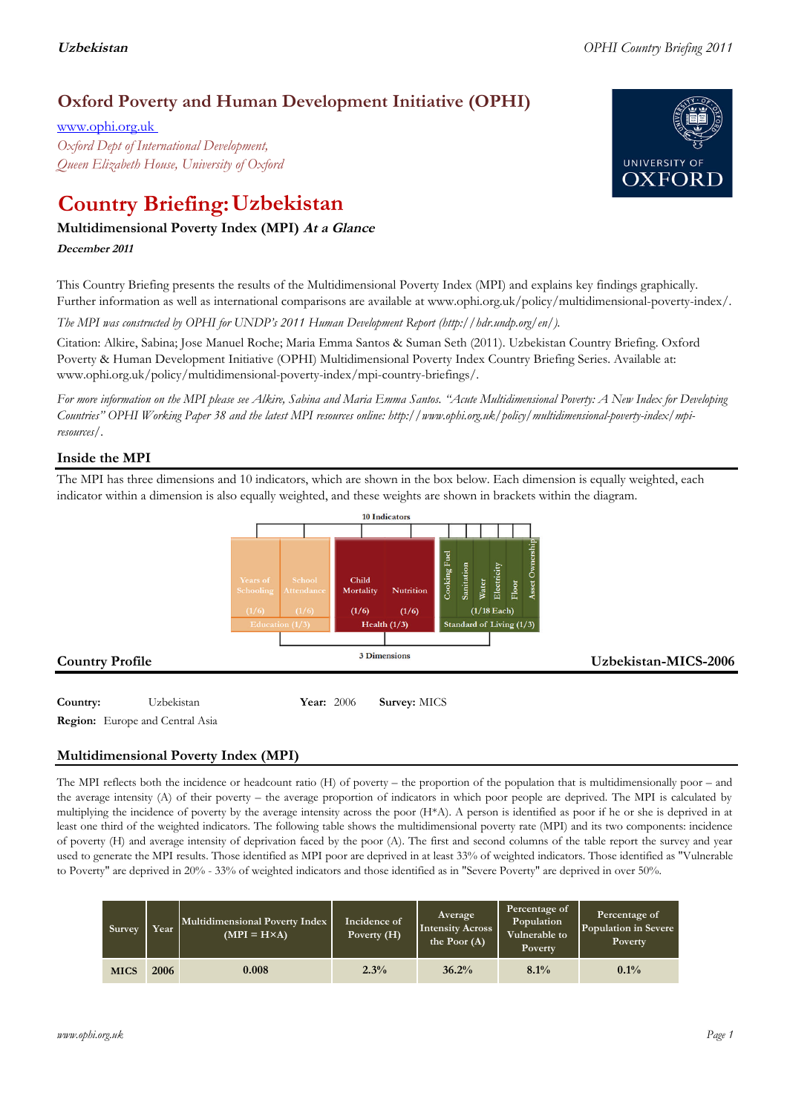# **Oxford Poverty and Human Development Initiative (OPHI)**

www.ophi.org.uk *Oxford Dept of International Development, Queen Elizabeth House, University of Oxford*

# **Country Briefing: Uzbekistan**

# **Multidimensional Poverty Index (MPI) At <sup>a</sup> Glance**

**December <sup>2011</sup>**

This Country Briefing presents the results of the Multidimensional Poverty Index (MPI) and explains key findings graphically. Further information as well as international comparisons are available at www.ophi.org.uk/policy/multidimensional-poverty-index/.

*The MPI was constructed by OPHI for UNDP's 2011 Human Development Report (http://hdr.undp.org/en/).*

Citation: Alkire, Sabina; Jose Manuel Roche; Maria Emma Santos & Suman Seth (2011). Uzbekistan Country Briefing. Oxford Poverty & Human Development Initiative (OPHI) Multidimensional Poverty Index Country Briefing Series. Available at: www.ophi.org.uk/policy/multidimensional-poverty-index/mpi-country-briefings/.

*For more information on the MPI please see Alkire, Sabina and Maria Emma Santos. "Acute Multidimensional Poverty: A New Index for Developing Countries" OPHI Working Paper 38 and the latest MPI resources online: http://www.ophi.org.uk/policy/multidimensional-poverty-index/mpiresources/.*

## **Inside the MPI**

The MPI has three dimensions and 10 indicators, which are shown in the box below. Each dimension is equally weighted, each indicator within a dimension is also equally weighted, and these weights are shown in brackets within the diagram.



**Region:** Europe and Central Asia

# **Multidimensional Poverty Index (MPI)**

The MPI reflects both the incidence or headcount ratio (H) of poverty – the proportion of the population that is multidimensionally poor – and the average intensity (A) of their poverty – the average proportion of indicators in which poor people are deprived. The MPI is calculated by multiplying the incidence of poverty by the average intensity across the poor (H\*A). A person is identified as poor if he or she is deprived in at least one third of the weighted indicators. The following table shows the multidimensional poverty rate (MPI) and its two components: incidence of poverty (H) and average intensity of deprivation faced by the poor (A). The first and second columns of the table report the survey and year used to generate the MPI results. Those identified as MPI poor are deprived in at least 33% of weighted indicators. Those identified as "Vulnerable to Poverty" are deprived in 20% - 33% of weighted indicators and those identified as in "Severe Poverty" are deprived in over 50%.

| Survey      | Year | Multidimensional Poverty Index<br>$(MPI = H \times A)$ | Incidence of<br>Poverty (H) | Average<br><b>Intensity Across</b><br>the Poor $(A)$ | Percentage of<br>Population<br>Vulnerable to<br>Poverty | Percentage of<br>Population in Severe<br>Poverty |
|-------------|------|--------------------------------------------------------|-----------------------------|------------------------------------------------------|---------------------------------------------------------|--------------------------------------------------|
| <b>MICS</b> | 2006 | 0.008                                                  | 2.3%                        | 36.2%                                                | 8.1%                                                    | $0.1\%$                                          |

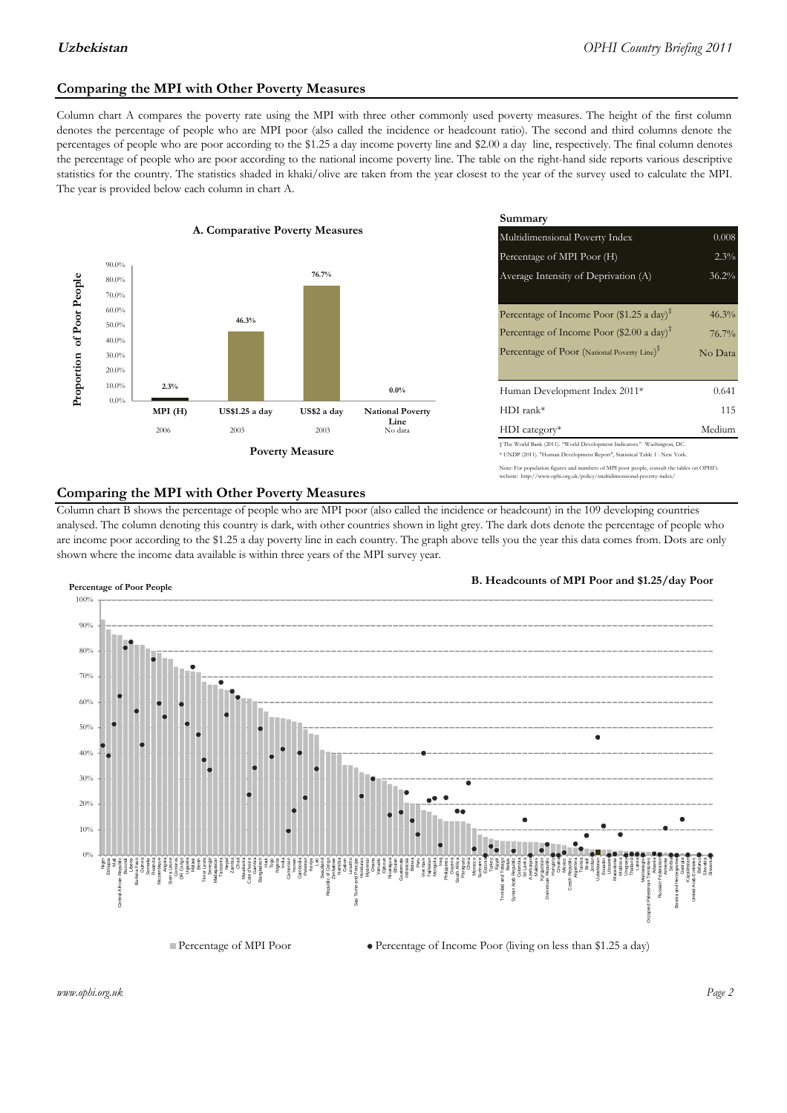### **Comparing the MPI with Other Poverty Measures**

Column chart A compares the poverty rate using the MPI with three other commonly used poverty measures. The height of the first column denotes the percentage of people who are MPI poor (also called the incidence or headcount ratio). The second and third columns denote the percentages of people who are poor according to the \$1.25 a day income poverty line and \$2.00 a day line, respectively. The final column denotes the percentage of people who are poor according to the national income poverty line. The table on the right-hand side reports various descriptive statistics for the country. The statistics shaded in khaki/olive are taken from the year closest to the year of the survey used to calculate the MPI. The year is provided below each column in chart A.



|                                                |         | Summary                                                                                                                                                    |         |  |  |
|------------------------------------------------|---------|------------------------------------------------------------------------------------------------------------------------------------------------------------|---------|--|--|
| erty Measures                                  |         | 0.008<br>Multidimensional Poverty Index                                                                                                                    |         |  |  |
|                                                |         | Percentage of MPI Poor (H)                                                                                                                                 | 2.3%    |  |  |
| 76.7%                                          |         | Average Intensity of Deprivation (A)<br>36.2%                                                                                                              |         |  |  |
|                                                |         |                                                                                                                                                            |         |  |  |
|                                                |         | Percentage of Income Poor (\$1.25 a day) <sup><math>\ddagger</math></sup>                                                                                  | 46.3%   |  |  |
|                                                |         | Percentage of Income Poor (\$2.00 a day) <sup><math>\bar{x}</math></sup>                                                                                   | 76.7%   |  |  |
|                                                |         | Percentage of Poor (National Poverty Line) <sup>‡</sup>                                                                                                    | No Data |  |  |
|                                                |         |                                                                                                                                                            |         |  |  |
|                                                | $0.0\%$ | Human Development Index 2011*                                                                                                                              | 0.641   |  |  |
| US\$2 a day<br><b>National Poverty</b><br>Line |         | $HDI$ rank*                                                                                                                                                | 115     |  |  |
| 2003                                           | No data | $HDI category*$                                                                                                                                            | Medium  |  |  |
| <b>Aeasure</b>                                 |         | $\pm$ The World Bank (2011). "World Development Indicators." Washington, DC.<br>* UNDP (2011). "Human Development Report", Statistical Table 1 . New York. |         |  |  |

te: For population figures and numbers of MPI poor people, consult the tables on OPHI's te: http://www.ophi.org.uk/policy/multidimensional-poverty-index/

#### **Comparing the MPI with Other Poverty Measures**

Column chart B shows the percentage of people who are MPI poor (also called the incidence or headcount) in the 109 developing countries analysed. The column denoting this country is dark, with other countries shown in light grey. The dark dots denote the percentage of people who are income poor according to the \$1.25 a day poverty line in each country. The graph above tells you the year this data comes from. Dots are only shown where the income data available is within three years of the MPI survey year.



**B. Headcounts of MPI Poor and \$1.25/day Poor**



 $\bullet$  Percentage of Income Poor (living on less than \$1.25 a day)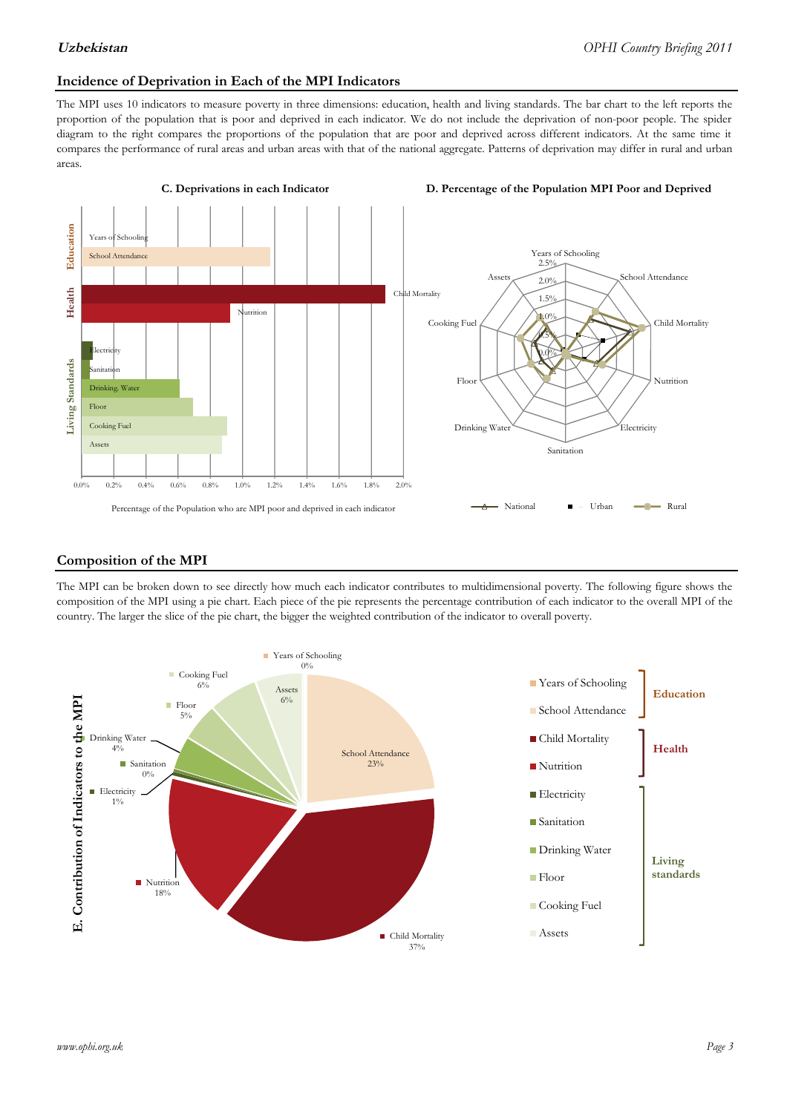#### **Incidence of Deprivation in Each of the MPI Indicators**

The MPI uses 10 indicators to measure poverty in three dimensions: education, health and living standards. The bar chart to the left reports the proportion of the population that is poor and deprived in each indicator. We do not include the deprivation of non-poor people. The spider diagram to the right compares the proportions of the population that are poor and deprived across different indicators. At the same time it compares the performance of rural areas and urban areas with that of the national aggregate. Patterns of deprivation may differ in rural and urban areas.



#### **Composition of the MPI**

The MPI can be broken down to see directly how much each indicator contributes to multidimensional poverty. The following figure shows the composition of the MPI using a pie chart. Each piece of the pie represents the percentage contribution of each indicator to the overall MPI of the country. The larger the slice of the pie chart, the bigger the weighted contribution of the indicator to overall poverty.

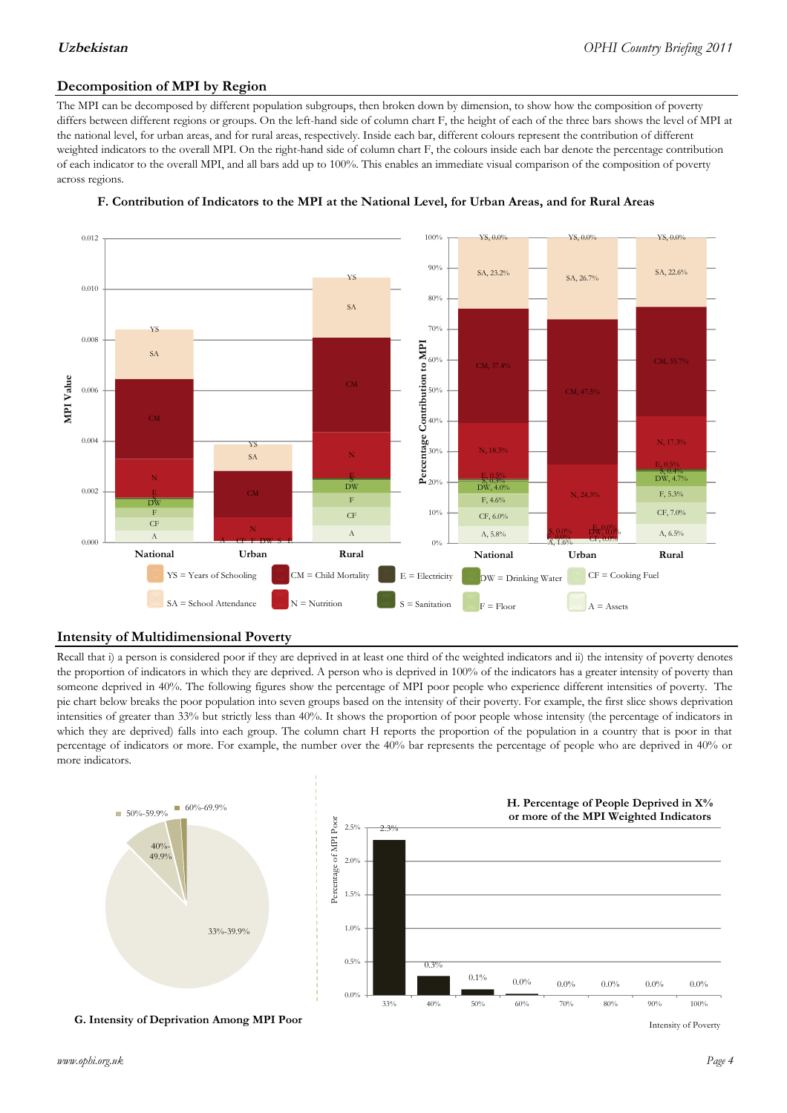### **Decomposition of MPI by Region**

The MPI can be decomposed by different population subgroups, then broken down by dimension, to show how the composition of poverty differs between different regions or groups. On the left-hand side of column chart F, the height of each of the three bars shows the level of MPI at the national level, for urban areas, and for rural areas, respectively. Inside each bar, different colours represent the contribution of different weighted indicators to the overall MPI. On the right-hand side of column chart F, the colours inside each bar denote the percentage contribution of each indicator to the overall MPI, and all bars add up to 100%. This enables an immediate visual comparison of the composition of poverty across regions.



#### **F. Contribution of Indicators to the MPI at the National Level, for Urban Areas, and for Rural Areas**

### **Intensity of Multidimensional Poverty**

Recall that i) a person is considered poor if they are deprived in at least one third of the weighted indicators and ii) the intensity of poverty denotes the proportion of indicators in which they are deprived. A person who is deprived in 100% of the indicators has a greater intensity of poverty than someone deprived in 40%. The following figures show the percentage of MPI poor people who experience different intensities of poverty. The pie chart below breaks the poor population into seven groups based on the intensity of their poverty. For example, the first slice shows deprivation intensities of greater than 33% but strictly less than 40%. It shows the proportion of poor people whose intensity (the percentage of indicators in which they are deprived) falls into each group. The column chart H reports the proportion of the population in a country that is poor in that percentage of indicators or more. For example, the number over the 40% bar represents the percentage of people who are deprived in 40% or more indicators.



**G. Intensity of Deprivation Among MPI Poor**

Intensity of Poverty